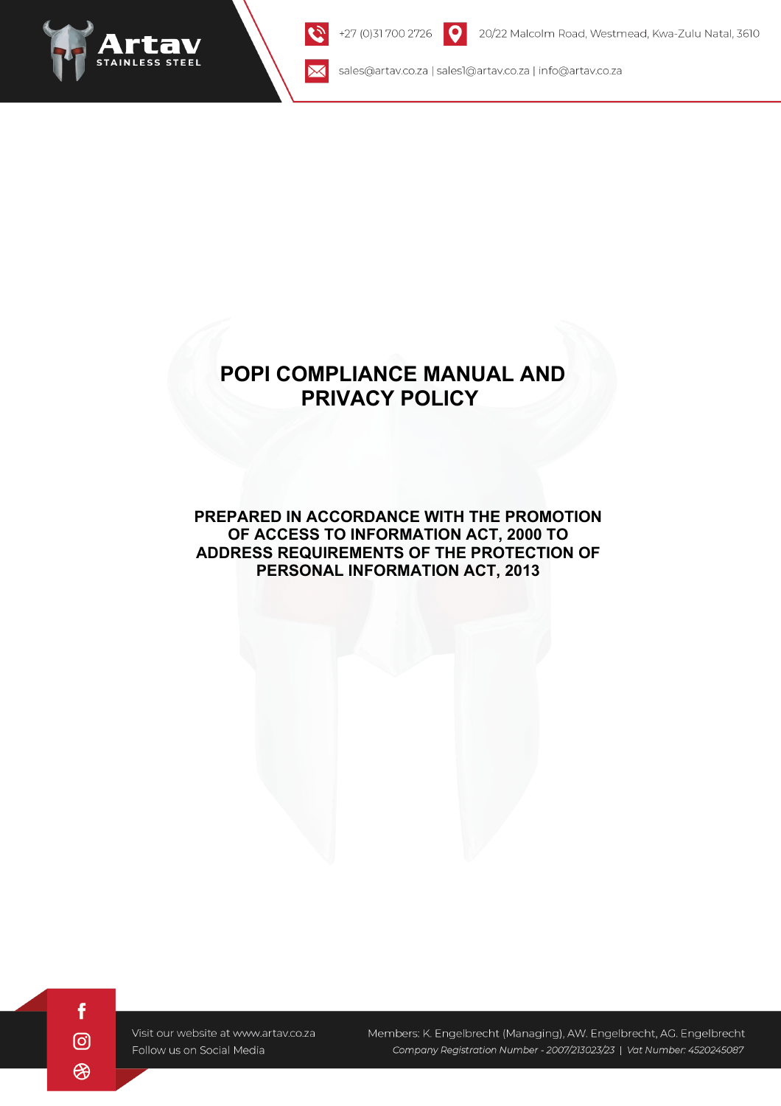

 $\boxtimes$ 

sales@artav.co.za | sales1@artav.co.za | info@artav.co.za

# **POPI COMPLIANCE MANUAL AND PRIVACY POLICY**

# **PREPARED IN ACCORDANCE WITH THE PROMOTION OF ACCESS TO INFORMATION ACT, 2000 TO ADDRESS REQUIREMENTS OF THE PROTECTION OF PERSONAL INFORMATION ACT, 2013**

f  $\odot$ അ

Visit our website at www.artav.co.za Follow us on Social Media

Members: K. Engelbrecht (Managing), AW. Engelbrecht, AG. Engelbrecht Company Registration Number - 2007/213023/23 | Vat Number: 4520245087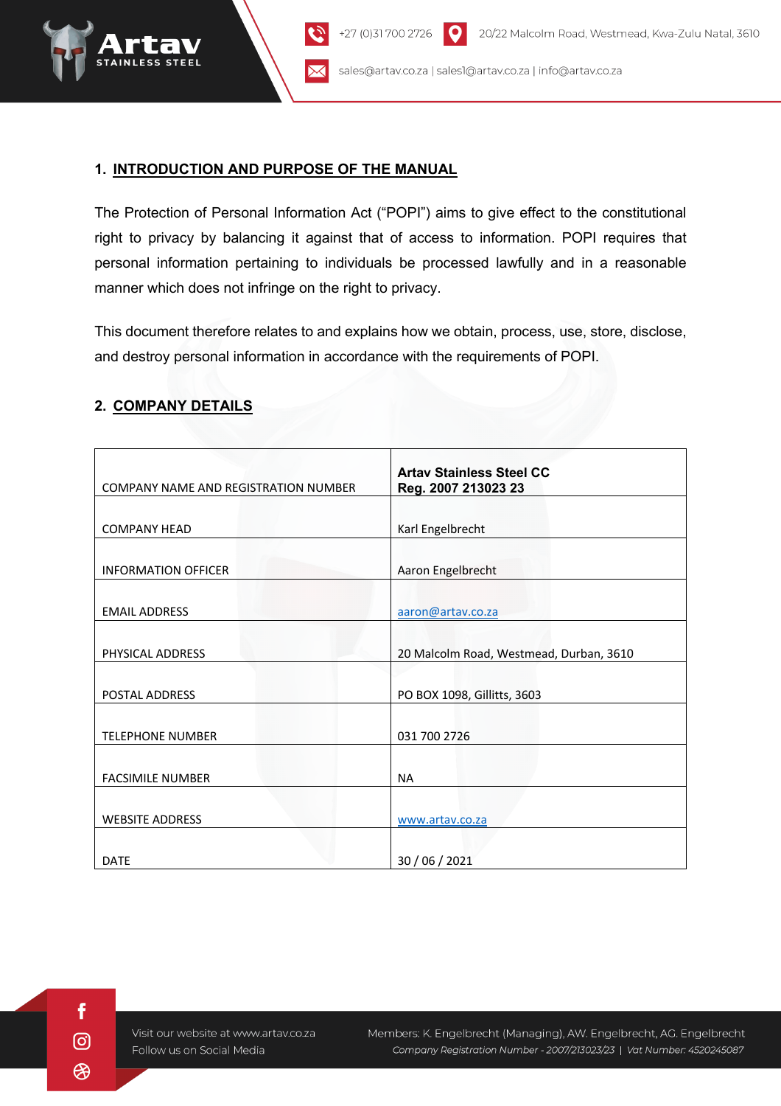

## **1. INTRODUCTION AND PURPOSE OF THE MANUAL**

The Protection of Personal Information Act ("POPI") aims to give effect to the constitutional right to privacy by balancing it against that of access to information. POPI requires that personal information pertaining to individuals be processed lawfully and in a reasonable manner which does not infringe on the right to privacy.

This document therefore relates to and explains how we obtain, process, use, store, disclose, and destroy personal information in accordance with the requirements of POPI.

| COMPANY NAME AND REGISTRATION NUMBER | <b>Artay Stainless Steel CC</b><br>Reg. 2007 213023 23 |
|--------------------------------------|--------------------------------------------------------|
|                                      |                                                        |
| <b>COMPANY HEAD</b>                  | Karl Engelbrecht                                       |
| <b>INFORMATION OFFICER</b>           | Aaron Engelbrecht                                      |
| <b>EMAIL ADDRESS</b>                 | aaron@artav.co.za                                      |
| PHYSICAL ADDRESS                     | 20 Malcolm Road, Westmead, Durban, 3610                |
| <b>POSTAL ADDRESS</b>                | PO BOX 1098, Gillitts, 3603                            |
| <b>TELEPHONE NUMBER</b>              | 031 700 2726                                           |
| <b>FACSIMILE NUMBER</b>              | <b>NA</b>                                              |
| <b>WEBSITE ADDRESS</b>               | www.artav.co.za                                        |
| <b>DATE</b>                          | 30 / 06 / 2021                                         |

#### **2. COMPANY DETAILS**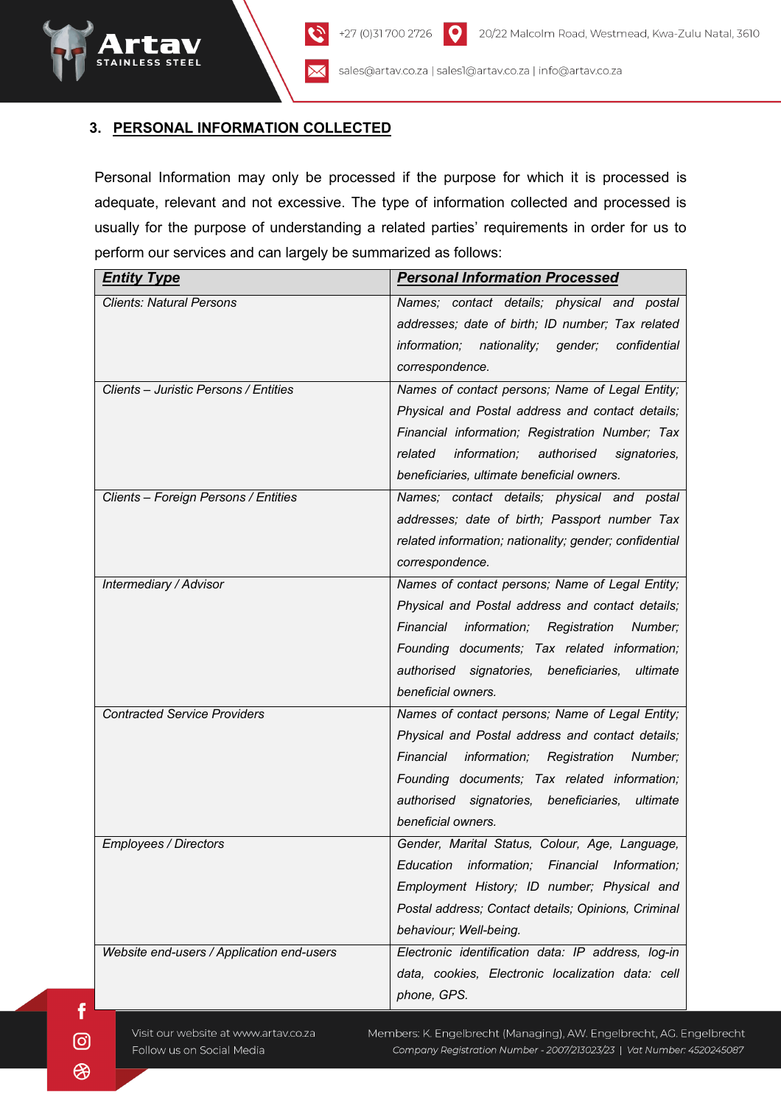#### **3. PERSONAL INFORMATION COLLECTED**

Personal Information may only be processed if the purpose for which it is processed is adequate, relevant and not excessive. The type of information collected and processed is usually for the purpose of understanding a related parties' requirements in order for us to perform our services and can largely be summarized as follows:

| <b>Entity Type</b>                        | <b>Personal Information Processed</b>                  |
|-------------------------------------------|--------------------------------------------------------|
| <b>Clients: Natural Persons</b>           | Names; contact details; physical and postal            |
|                                           | addresses; date of birth; ID number; Tax related       |
|                                           | information; nationality; gender;<br>confidential      |
|                                           | correspondence.                                        |
| Clients - Juristic Persons / Entities     | Names of contact persons; Name of Legal Entity;        |
|                                           | Physical and Postal address and contact details;       |
|                                           | Financial information; Registration Number; Tax        |
|                                           | related<br>information; authorised<br>signatories,     |
|                                           | beneficiaries, ultimate beneficial owners.             |
| Clients - Foreign Persons / Entities      | Names; contact details; physical and postal            |
|                                           | addresses; date of birth; Passport number Tax          |
|                                           | related information; nationality; gender; confidential |
|                                           | correspondence.                                        |
| Intermediary / Advisor                    | Names of contact persons; Name of Legal Entity;        |
|                                           | Physical and Postal address and contact details;       |
|                                           | Financial<br>information; Registration Number;         |
|                                           | Founding documents; Tax related information;           |
|                                           | authorised signatories, beneficiaries,<br>ultimate     |
|                                           | beneficial owners.                                     |
| <b>Contracted Service Providers</b>       | Names of contact persons; Name of Legal Entity;        |
|                                           | Physical and Postal address and contact details;       |
|                                           | Financial<br>information;<br>Registration<br>Number;   |
|                                           | Founding documents; Tax related information;           |
|                                           | authorised signatories, beneficiaries,<br>ultimate     |
|                                           | beneficial owners.                                     |
| <b>Employees / Directors</b>              | Gender, Marital Status, Colour, Age, Language,         |
|                                           | Education<br>information; Financial<br>Information;    |
|                                           | Employment History; ID number; Physical and            |
|                                           | Postal address; Contact details; Opinions, Criminal    |
|                                           | behaviour; Well-being.                                 |
| Website end-users / Application end-users | Electronic identification data: IP address, log-in     |
|                                           | data, cookies, Electronic localization data: cell      |
|                                           | phone, GPS.                                            |

Visit our website at www.artav.co.za Follow us on Social Media

Members: K. Engelbrecht (Managing), AW. Engelbrecht, AG. Engelbrecht Company Registration Number - 2007/213023/23 | Vat Number: 4520245087

 $\odot$ ⊛

f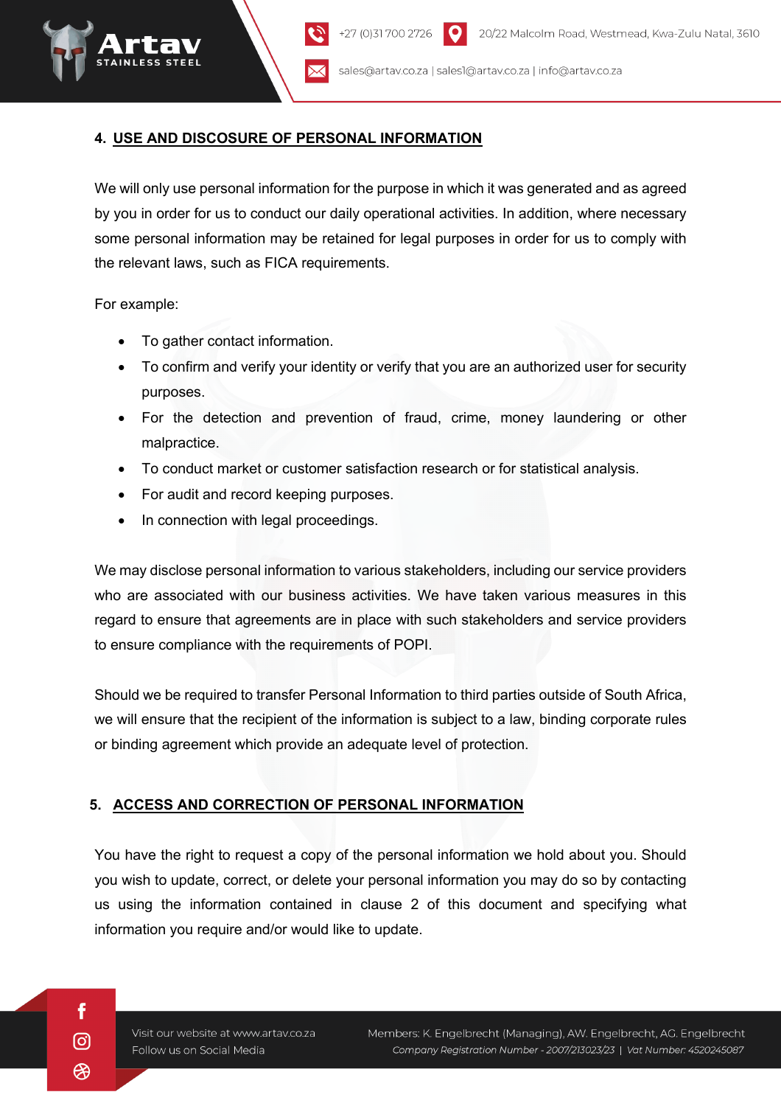### **4. USE AND DISCOSURE OF PERSONAL INFORMATION**

We will only use personal information for the purpose in which it was generated and as agreed by you in order for us to conduct our daily operational activities. In addition, where necessary some personal information may be retained for legal purposes in order for us to comply with the relevant laws, such as FICA requirements.

+27 (0)31 700 2726

For example:

- To gather contact information.
- To confirm and verify your identity or verify that you are an authorized user for security purposes.
- For the detection and prevention of fraud, crime, money laundering or other malpractice.
- To conduct market or customer satisfaction research or for statistical analysis.
- For audit and record keeping purposes.
- In connection with legal proceedings.

We may disclose personal information to various stakeholders, including our service providers who are associated with our business activities. We have taken various measures in this regard to ensure that agreements are in place with such stakeholders and service providers to ensure compliance with the requirements of POPI.

Should we be required to transfer Personal Information to third parties outside of South Africa, we will ensure that the recipient of the information is subject to a law, binding corporate rules or binding agreement which provide an adequate level of protection.

#### **5. ACCESS AND CORRECTION OF PERSONAL INFORMATION**

You have the right to request a copy of the personal information we hold about you. Should you wish to update, correct, or delete your personal information you may do so by contacting us using the information contained in clause 2 of this document and specifying what information you require and/or would like to update.